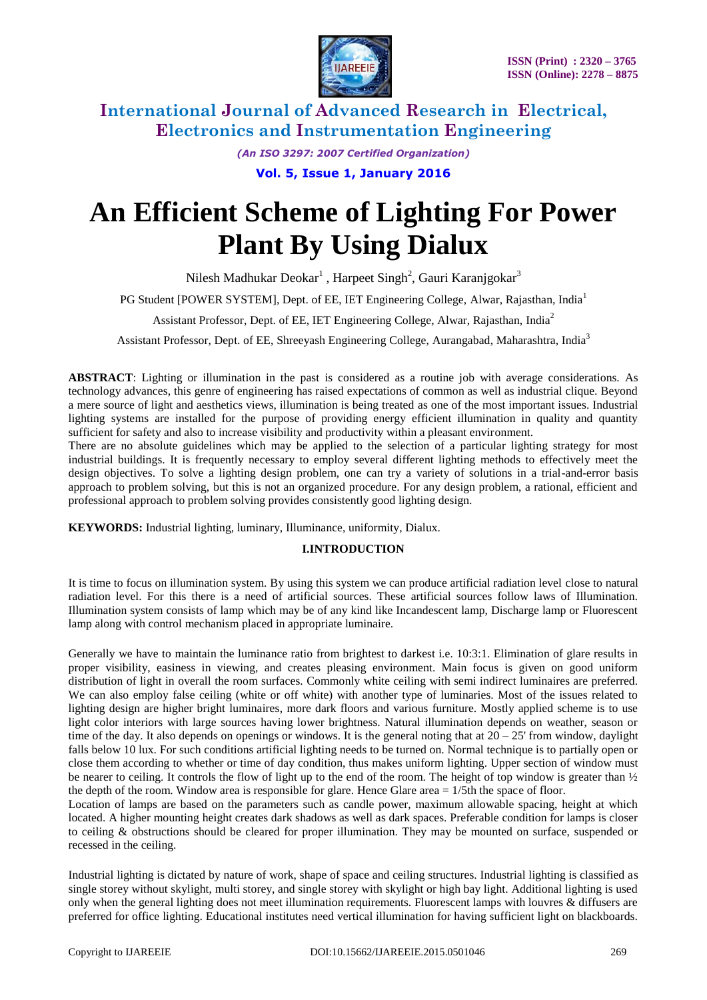

*(An ISO 3297: 2007 Certified Organization)*

**Vol. 5, Issue 1, January 2016**

# **An Efficient Scheme of Lighting For Power Plant By Using Dialux**

Nilesh Madhukar Deokar<sup>1</sup>, Harpeet Singh<sup>2</sup>, Gauri Karanjgokar<sup>3</sup>

PG Student [POWER SYSTEM], Dept. of EE, IET Engineering College, Alwar, Rajasthan, India<sup>1</sup>

Assistant Professor, Dept. of EE, IET Engineering College, Alwar, Rajasthan, India<sup>2</sup>

Assistant Professor, Dept. of EE, Shreeyash Engineering College, Aurangabad, Maharashtra, India<sup>3</sup>

**ABSTRACT**: Lighting or illumination in the past is considered as a routine job with average considerations. As technology advances, this genre of engineering has raised expectations of common as well as industrial clique. Beyond a mere source of light and aesthetics views, illumination is being treated as one of the most important issues. Industrial lighting systems are installed for the purpose of providing energy efficient illumination in quality and quantity sufficient for safety and also to increase visibility and productivity within a pleasant environment.

There are no absolute guidelines which may be applied to the selection of a particular lighting strategy for most industrial buildings. It is frequently necessary to employ several different lighting methods to effectively meet the design objectives. To solve a lighting design problem, one can try a variety of solutions in a trial-and-error basis approach to problem solving, but this is not an organized procedure. For any design problem, a rational, efficient and professional approach to problem solving provides consistently good lighting design.

**KEYWORDS:** Industrial lighting, luminary, Illuminance, uniformity, Dialux.

#### **I.INTRODUCTION**

It is time to focus on illumination system. By using this system we can produce artificial radiation level close to natural radiation level. For this there is a need of artificial sources. These artificial sources follow laws of Illumination. Illumination system consists of lamp which may be of any kind like Incandescent lamp, Discharge lamp or Fluorescent lamp along with control mechanism placed in appropriate luminaire.

Generally we have to maintain the luminance ratio from brightest to darkest i.e. 10:3:1. Elimination of glare results in proper visibility, easiness in viewing, and creates pleasing environment. Main focus is given on good uniform distribution of light in overall the room surfaces. Commonly white ceiling with semi indirect luminaires are preferred. We can also employ false ceiling (white or off white) with another type of luminaries. Most of the issues related to lighting design are higher bright luminaires, more dark floors and various furniture. Mostly applied scheme is to use light color interiors with large sources having lower brightness. Natural illumination depends on weather, season or time of the day. It also depends on openings or windows. It is the general noting that at  $20 - 25'$  from window, daylight falls below 10 lux. For such conditions artificial lighting needs to be turned on. Normal technique is to partially open or close them according to whether or time of day condition, thus makes uniform lighting. Upper section of window must be nearer to ceiling. It controls the flow of light up to the end of the room. The height of top window is greater than  $\frac{1}{2}$ the depth of the room. Window area is responsible for glare. Hence Glare area  $= 1/5$ th the space of floor.

Location of lamps are based on the parameters such as candle power, maximum allowable spacing, height at which located. A higher mounting height creates dark shadows as well as dark spaces. Preferable condition for lamps is closer to ceiling & obstructions should be cleared for proper illumination. They may be mounted on surface, suspended or recessed in the ceiling.

Industrial lighting is dictated by nature of work, shape of space and ceiling structures. Industrial lighting is classified as single storey without skylight, multi storey, and single storey with skylight or high bay light. Additional lighting is used only when the general lighting does not meet illumination requirements. Fluorescent lamps with louvres & diffusers are preferred for office lighting. Educational institutes need vertical illumination for having sufficient light on blackboards.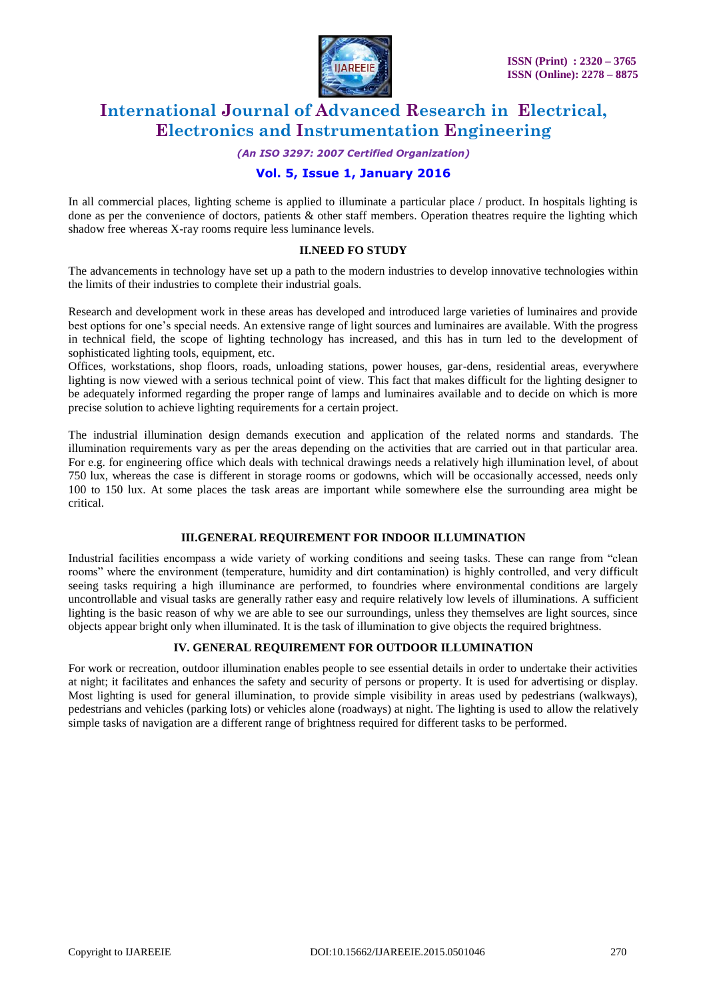

*(An ISO 3297: 2007 Certified Organization)*

## **Vol. 5, Issue 1, January 2016**

In all commercial places, lighting scheme is applied to illuminate a particular place / product. In hospitals lighting is done as per the convenience of doctors, patients & other staff members. Operation theatres require the lighting which shadow free whereas X-ray rooms require less luminance levels.

#### **II.NEED FO STUDY**

The advancements in technology have set up a path to the modern industries to develop innovative technologies within the limits of their industries to complete their industrial goals.

Research and development work in these areas has developed and introduced large varieties of luminaires and provide best options for one's special needs. An extensive range of light sources and luminaires are available. With the progress in technical field, the scope of lighting technology has increased, and this has in turn led to the development of sophisticated lighting tools, equipment, etc.

Offices, workstations, shop floors, roads, unloading stations, power houses, gar-dens, residential areas, everywhere lighting is now viewed with a serious technical point of view. This fact that makes difficult for the lighting designer to be adequately informed regarding the proper range of lamps and luminaires available and to decide on which is more precise solution to achieve lighting requirements for a certain project.

The industrial illumination design demands execution and application of the related norms and standards. The illumination requirements vary as per the areas depending on the activities that are carried out in that particular area. For e.g. for engineering office which deals with technical drawings needs a relatively high illumination level, of about 750 lux, whereas the case is different in storage rooms or godowns, which will be occasionally accessed, needs only 100 to 150 lux. At some places the task areas are important while somewhere else the surrounding area might be critical.

#### **III.GENERAL REQUIREMENT FOR INDOOR ILLUMINATION**

Industrial facilities encompass a wide variety of working conditions and seeing tasks. These can range from "clean rooms" where the environment (temperature, humidity and dirt contamination) is highly controlled, and very difficult seeing tasks requiring a high illuminance are performed, to foundries where environmental conditions are largely uncontrollable and visual tasks are generally rather easy and require relatively low levels of illuminations. A sufficient lighting is the basic reason of why we are able to see our surroundings, unless they themselves are light sources, since objects appear bright only when illuminated. It is the task of illumination to give objects the required brightness.

#### **IV. GENERAL REQUIREMENT FOR OUTDOOR ILLUMINATION**

For work or recreation, outdoor illumination enables people to see essential details in order to undertake their activities at night; it facilitates and enhances the safety and security of persons or property. It is used for advertising or display. Most lighting is used for general illumination, to provide simple visibility in areas used by pedestrians (walkways), pedestrians and vehicles (parking lots) or vehicles alone (roadways) at night. The lighting is used to allow the relatively simple tasks of navigation are a different range of brightness required for different tasks to be performed.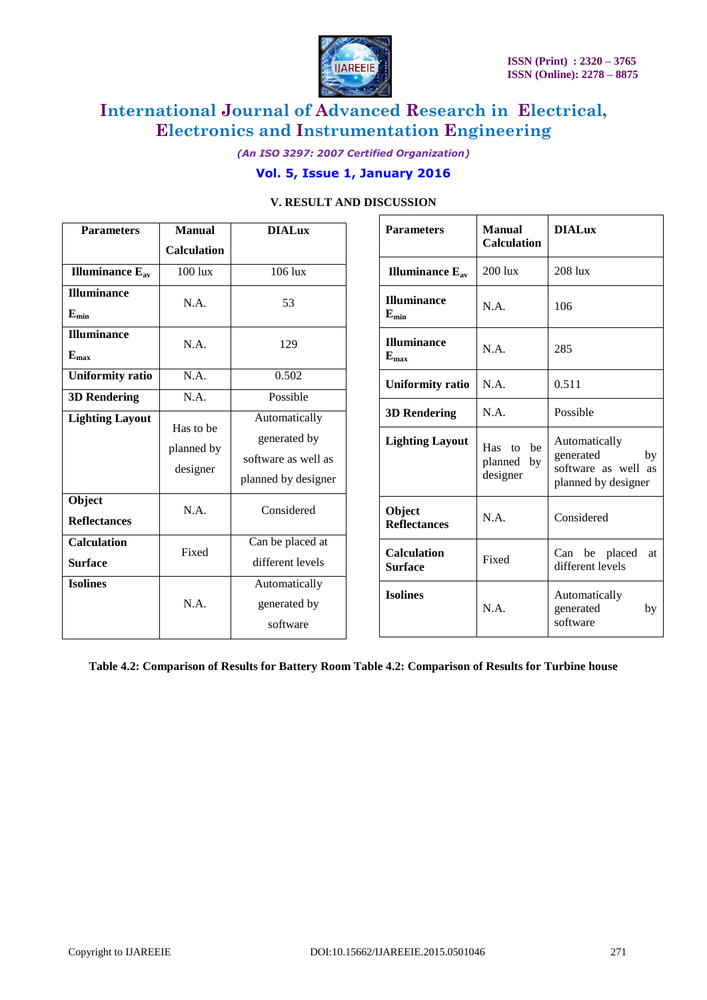

*(An ISO 3297: 2007 Certified Organization)*

## **Vol. 5, Issue 1, January 2016**

| <b>Parameters</b>                    | <b>Manual</b>                       | <b>DIALux</b>                                                               |
|--------------------------------------|-------------------------------------|-----------------------------------------------------------------------------|
|                                      | <b>Calculation</b>                  |                                                                             |
| <b>Illuminance</b> E <sub>av</sub>   | 100 lux                             | 106 lux                                                                     |
| <b>Illuminance</b><br>$E_{min}$      | N.A.                                | 53                                                                          |
| <b>Illuminance</b><br>$E_{\rm max}$  | N.A.                                | 129                                                                         |
| <b>Uniformity ratio</b>              | N.A.                                | 0.502                                                                       |
| <b>3D Rendering</b>                  | N.A.                                | Possible                                                                    |
| <b>Lighting Layout</b>               | Has to be<br>planned by<br>designer | Automatically<br>generated by<br>software as well as<br>planned by designer |
| Object<br><b>Reflectances</b>        | N.A.                                | Considered                                                                  |
| <b>Calculation</b><br><b>Surface</b> | Fixed                               | Can be placed at<br>different levels                                        |
| <b>Isolines</b>                      | N.A.                                | Automatically<br>generated by<br>software                                   |

## **V. RESULT AND DISCUSSION**

| <b>Parameters</b>                    | <b>Manual</b><br><b>Calculation</b>    | <b>DIALux</b>                                                                  |
|--------------------------------------|----------------------------------------|--------------------------------------------------------------------------------|
| <b>Illuminance</b> $E_{av}$          | $200$ lux                              | 208 lux                                                                        |
| <b>Illuminance</b><br>$E_{\min}$     | N.A.                                   | 106                                                                            |
| <b>Illuminance</b><br>$E_{\rm max}$  | N.A.                                   | 285                                                                            |
| <b>Uniformity ratio</b>              | N.A.                                   | 0.511                                                                          |
| <b>3D Rendering</b>                  | N.A.                                   | Possible                                                                       |
| <b>Lighting Layout</b>               | Has to be<br>planned<br>by<br>designer | Automatically<br>generated<br>by<br>software as well as<br>planned by designer |
| Object<br><b>Reflectances</b>        | N.A.                                   | Considered                                                                     |
| <b>Calculation</b><br><b>Surface</b> | Fixed                                  | Can be placed<br><b>at</b><br>different levels                                 |
| <b>Isolines</b>                      | N.A.                                   | Automatically<br>generated<br>by<br>software                                   |

**Table 4.2: Comparison of Results for Battery Room Table 4.2: Comparison of Results for Turbine house**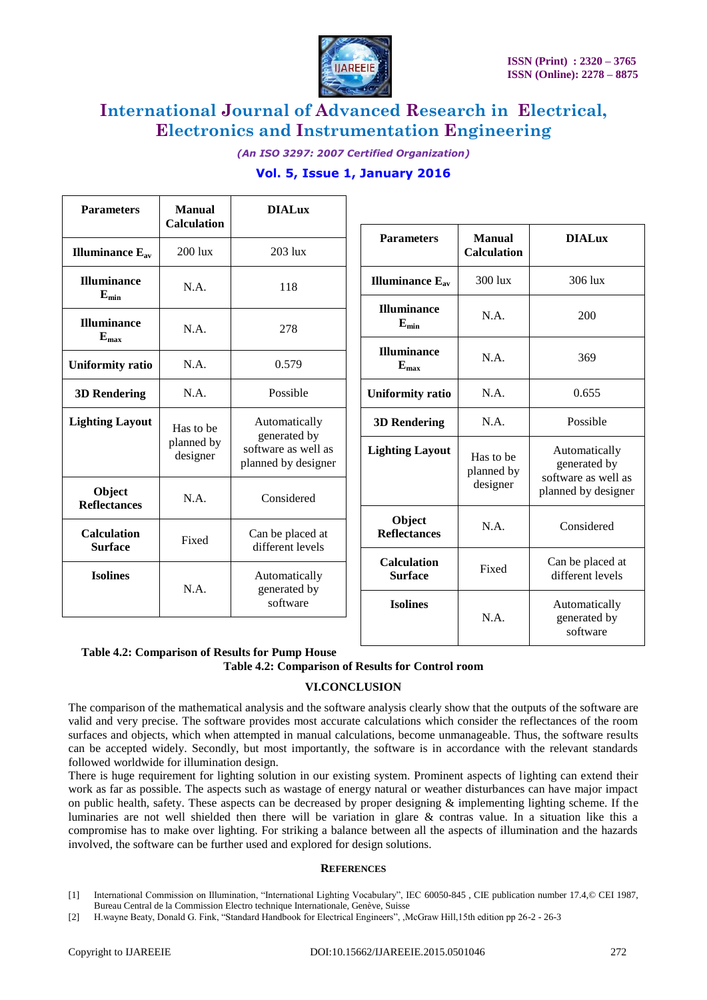

*(An ISO 3297: 2007 Certified Organization)*

## **Vol. 5, Issue 1, January 2016**

| <b>Parameters</b>                    | Manual<br><b>Calculation</b>        | <b>DIAL</b> ux                                                              |
|--------------------------------------|-------------------------------------|-----------------------------------------------------------------------------|
| Illuminance $E_{av}$                 | $200$ lux                           | $203$ lux                                                                   |
| <b>Illuminance</b><br>$E_{min}$      | N.A.                                | 118                                                                         |
| <b>Illuminance</b><br>$E_{max}$      | N.A.                                | 278                                                                         |
| <b>Uniformity ratio</b>              | N.A.                                | 0.579                                                                       |
| <b>3D Rendering</b>                  | N.A.                                | Possible                                                                    |
| <b>Lighting Layout</b>               | Has to be<br>planned by<br>designer | Automatically<br>generated by<br>software as well as<br>planned by designer |
| Object<br><b>Reflectances</b>        | N.A.                                | Considered                                                                  |
| <b>Calculation</b><br><b>Surface</b> | Fixed                               | Can be placed at<br>different levels                                        |
| <b>Isolines</b>                      | N.A.                                | Automatically<br>generated by<br>software                                   |

| <b>Parameters</b>                    | <b>Manual</b><br><b>Calculation</b> | <b>DIALux</b>                                                               |
|--------------------------------------|-------------------------------------|-----------------------------------------------------------------------------|
| Illuminance $E_{av}$                 | 300 lux                             | 306 lux                                                                     |
| <b>Illuminance</b><br>$E_{min}$      | N.A.                                | 200                                                                         |
| <b>Illuminance</b><br>$E_{max}$      | N.A.                                | 369                                                                         |
| <b>Uniformity ratio</b>              | N.A.                                | 0.655                                                                       |
| <b>3D Rendering</b>                  | N.A.                                | Possible                                                                    |
| <b>Lighting Layout</b>               | Has to be<br>planned by<br>designer | Automatically<br>generated by<br>software as well as<br>planned by designer |
| Object<br><b>Reflectances</b>        | N.A.                                | Considered                                                                  |
| <b>Calculation</b><br><b>Surface</b> | Fixed                               | Can be placed at<br>different levels                                        |
| <b>Isolines</b>                      | N.A.                                | Automatically<br>generated by<br>software                                   |

#### **Table 4.2: Comparison of Results for Pump House Table 4.2: Comparison of Results for Control room**

# **VI.CONCLUSION**

The comparison of the mathematical analysis and the software analysis clearly show that the outputs of the software are valid and very precise. The software provides most accurate calculations which consider the reflectances of the room surfaces and objects, which when attempted in manual calculations, become unmanageable. Thus, the software results can be accepted widely. Secondly, but most importantly, the software is in accordance with the relevant standards followed worldwide for illumination design.

There is huge requirement for lighting solution in our existing system. Prominent aspects of lighting can extend their work as far as possible. The aspects such as wastage of energy natural or weather disturbances can have major impact on public health, safety. These aspects can be decreased by proper designing  $\&$  implementing lighting scheme. If the luminaries are not well shielded then there will be variation in glare & contras value. In a situation like this a compromise has to make over lighting. For striking a balance between all the aspects of illumination and the hazards involved, the software can be further used and explored for design solutions.

#### **REFERENCES**

[2] H.wayne Beaty, Donald G. Fink, "Standard Handbook for Electrical Engineers", ,McGraw Hill,15th edition pp 26-2 - 26-3

<sup>[1]</sup> International Commission on Illumination, "International Lighting Vocabulary", IEC 60050-845 , CIE publication number 17.4,© CEI 1987, Bureau Central de la Commission Electro technique Internationale, Genève, Suisse